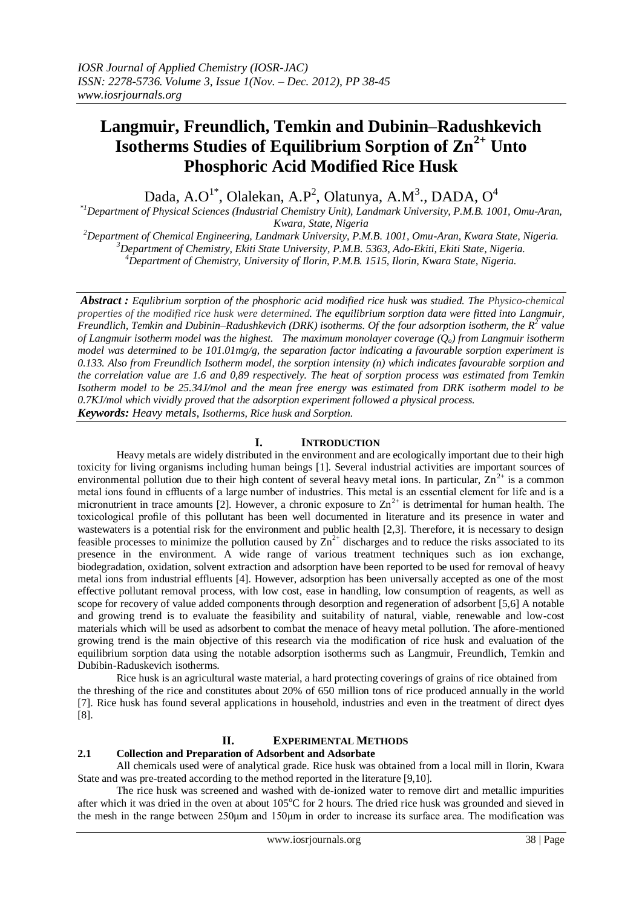# **Langmuir, Freundlich, Temkin and Dubinin–Radushkevich Isotherms Studies of Equilibrium Sorption of Zn2+ Unto Phosphoric Acid Modified Rice Husk**

Dada, A.O $^{1*}$ , Olalekan, A.P<sup>2</sup>, Olatunya, A.M<sup>3</sup>., DADA, O<sup>4</sup>

*\*1Department of Physical Sciences (Industrial Chemistry Unit), Landmark University, P.M.B. 1001, Omu-Aran, Kwara, State, Nigeria*

*<sup>2</sup>Department of Chemical Engineering, Landmark University, P.M.B. 1001, Omu-Aran, Kwara State, Nigeria. <sup>3</sup>Department of Chemistry, Ekiti State University, P.M.B. 5363, Ado-Ekiti, Ekiti State, Nigeria. <sup>4</sup>Department of Chemistry, University of Ilorin, P.M.B. 1515, Ilorin, Kwara State, Nigeria.*

*Abstract : Equlibrium sorption of the phosphoric acid modified rice husk was studied. The Physico-chemical properties of the modified rice husk were determined. The equilibrium sorption data were fitted into Langmuir, Freundlich, Temkin and Dubinin–Radushkevich (DRK) isotherms. Of the four adsorption isotherm, the R<sup>2</sup> value of Langmuir isotherm model was the highest. The maximum monolayer coverage (Qo) from Langmuir isotherm model was determined to be 101.01mg/g, the separation factor indicating a favourable sorption experiment is 0.133. Also from Freundlich Isotherm model, the sorption intensity (n) which indicates favourable sorption and the correlation value are 1.6 and 0,89 respectively. The heat of sorption process was estimated from Temkin Isotherm model to be 25.34J/mol and the mean free energy was estimated from DRK isotherm model to be 0.7KJ/mol which vividly proved that the adsorption experiment followed a physical process. Keywords: Heavy metals, Isotherms, Rice husk and Sorption.*

# **I. INTRODUCTION**

Heavy metals are widely distributed in the environment and are ecologically important due to their high toxicity for living organisms including human beings [1]. Several industrial activities are important sources of environmental pollution due to their high content of several heavy metal ions. In particular,  $\overline{Z}n^{2+}$  is a common metal ions found in effluents of a large number of industries. This metal is an essential element for life and is a micronutrient in trace amounts [2]. However, a chronic exposure to  $\text{Zn}^2$  is detrimental for human health. The toxicological profile of this pollutant has been well documented in literature and its presence in water and wastewaters is a potential risk for the environment and public health [2,3]. Therefore, it is necessary to design feasible processes to minimize the pollution caused by  $Zn^{2+}$  discharges and to reduce the risks associated to its presence in the environment. A wide range of various treatment techniques such as ion exchange, biodegradation, oxidation, solvent extraction and adsorption have been reported to be used for removal of heavy metal ions from industrial effluents [4]. However, adsorption has been universally accepted as one of the most effective pollutant removal process, with low cost, ease in handling, low consumption of reagents, as well as scope for recovery of value added components through desorption and regeneration of adsorbent [5,6] A notable and growing trend is to evaluate the feasibility and suitability of natural, viable, renewable and low-cost materials which will be used as adsorbent to combat the menace of heavy metal pollution. The afore-mentioned growing trend is the main objective of this research via the modification of rice husk and evaluation of the equilibrium sorption data using the notable adsorption isotherms such as Langmuir, Freundlich, Temkin and Dubibin-Raduskevich isotherms.

Rice husk is an agricultural waste material, a hard protecting coverings of grains of rice obtained from the threshing of the rice and constitutes about 20% of 650 million tons of rice produced annually in the world [7]. Rice husk has found several applications in household, industries and even in the treatment of direct dyes [8].

## **II. EXPERIMENTAL METHODS**

## **2.1 Collection and Preparation of Adsorbent and Adsorbate**

All chemicals used were of analytical grade. Rice husk was obtained from a local mill in Ilorin, Kwara State and was pre-treated according to the method reported in the literature [9,10].

The rice husk was screened and washed with de-ionized water to remove dirt and metallic impurities after which it was dried in the oven at about 105°C for 2 hours. The dried rice husk was grounded and sieved in the mesh in the range between 250μm and 150μm in order to increase its surface area. The modification was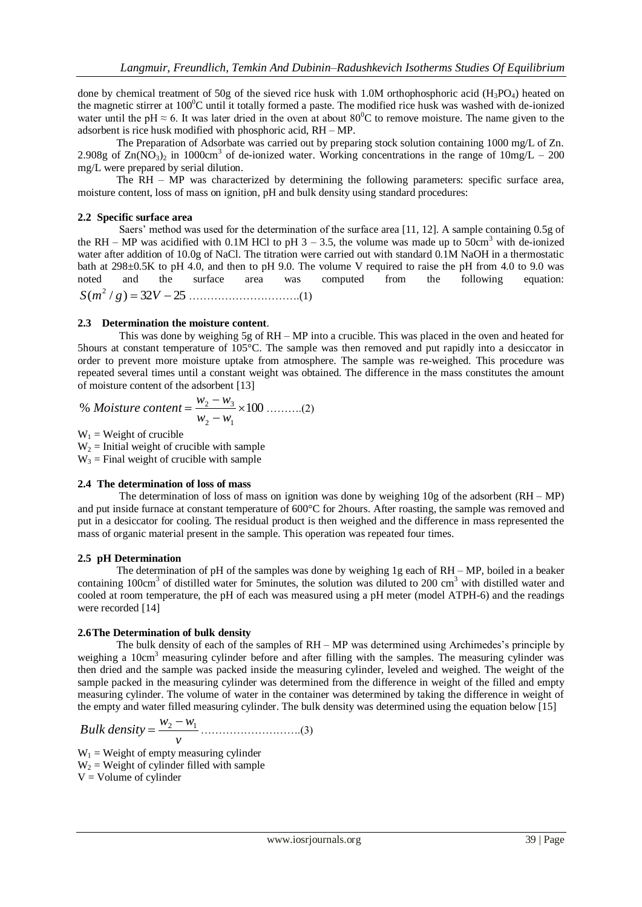done by chemical treatment of 50g of the sieved rice husk with 1.0M orthophosphoric acid (H<sub>3</sub>PO<sub>4</sub>) heated on the magnetic stirrer at  $100^{\circ}$ C until it totally formed a paste. The modified rice husk was washed with de-ionized water until the pH  $\approx$  6. It was later dried in the oven at about 80<sup>o</sup>C to remove moisture. The name given to the adsorbent is rice husk modified with phosphoric acid, RH – MP.

The Preparation of Adsorbate was carried out by preparing stock solution containing 1000 mg/L of Zn. 2.908g of  $\text{Zn}(N\text{O}_3)_2$  in 1000cm<sup>3</sup> of de-ionized water. Working concentrations in the range of  $10 \text{mg/L} - 200$ mg/L were prepared by serial dilution.

The RH – MP was characterized by determining the following parameters: specific surface area, moisture content, loss of mass on ignition, pH and bulk density using standard procedures:

## **2.2 Specific surface area**

Saers' method was used for the determination of the surface area [11, 12]. A sample containing 0.5g of the RH – MP was acidified with 0.1M HCl to pH  $3 - 3.5$ , the volume was made up to  $50 \text{cm}^3$  with de-ionized water after addition of 10.0g of NaCl. The titration were carried out with standard 0.1M NaOH in a thermostatic bath at 298±0.5K to pH 4.0, and then to pH 9.0. The volume V required to raise the pH from 4.0 to 9.0 was noted and the surface area was computed from the following equation: ( / ) 32 25 <sup>2</sup> *S m g V* ………………………….(1)

### **2.3 Determination the moisture content**.

This was done by weighing 5g of RH – MP into a crucible. This was placed in the oven and heated for 5hours at constant temperature of 105°C. The sample was then removed and put rapidly into a desiccator in order to prevent more moisture uptake from atmosphere. The sample was re-weighed. This procedure was repeated several times until a constant weight was obtained. The difference in the mass constitutes the amount of moisture content of the adsorbent [13]

% *Moisture content* = 
$$
\frac{w_2 - w_3}{w_2 - w_1} \times 100
$$
 .........(2)

 $W_1$  = Weight of crucible

 $W<sub>2</sub>$  = Initial weight of crucible with sample

 $W_3$  = Final weight of crucible with sample

### **2.4 The determination of loss of mass**

The determination of loss of mass on ignition was done by weighing  $10g$  of the adsorbent (RH – MP) and put inside furnace at constant temperature of 600°C for 2hours. After roasting, the sample was removed and put in a desiccator for cooling. The residual product is then weighed and the difference in mass represented the mass of organic material present in the sample. This operation was repeated four times.

### **2.5 pH Determination**

The determination of pH of the samples was done by weighing 1g each of RH – MP, boiled in a beaker containing 100cm<sup>3</sup> of distilled water for 5minutes, the solution was diluted to 200 cm<sup>3</sup> with distilled water and cooled at room temperature, the pH of each was measured using a pH meter (model ATPH-6) and the readings were recorded [14]

## **2.6The Determination of bulk density**

The bulk density of each of the samples of RH – MP was determined using Archimedes's principle by weighing a 10cm<sup>3</sup> measuring cylinder before and after filling with the samples. The measuring cylinder was then dried and the sample was packed inside the measuring cylinder, leveled and weighed. The weight of the sample packed in the measuring cylinder was determined from the difference in weight of the filled and empty measuring cylinder. The volume of water in the container was determined by taking the difference in weight of the empty and water filled measuring cylinder. The bulk density was determined using the equation below [15]

Bulk density = 
$$
\frac{w_2 - w_1}{v}
$$
 .........(3)  
W = Weight of empty measuring cylinder.

 $W_1$  = Weight of empty measuring cylinder  $W_2$  = Weight of cylinder filled with sample  $V =$  Volume of cylinder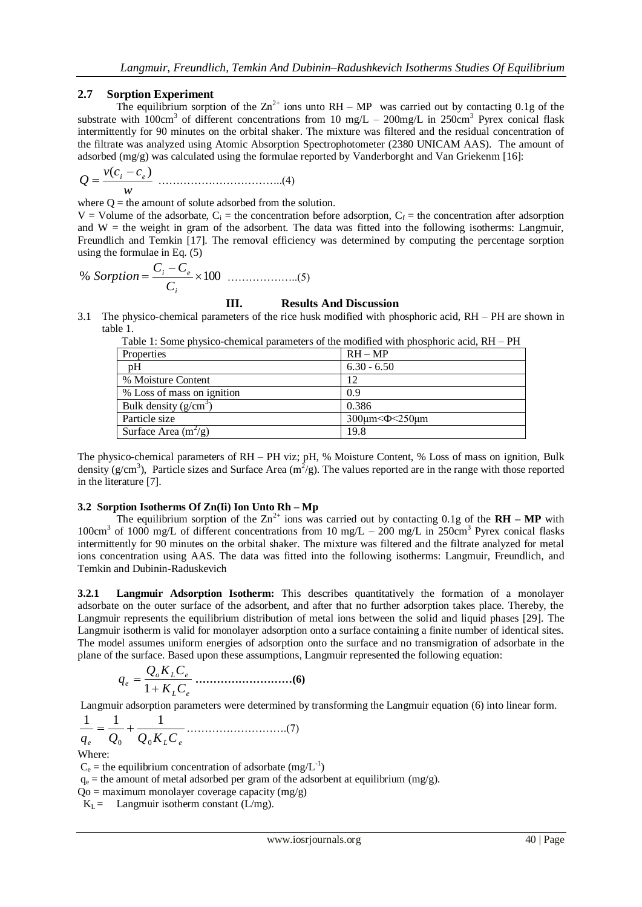## **2.7 Sorption Experiment**

The equilibrium sorption of the  $\text{Zn}^{2+}$  ions unto RH – MP was carried out by contacting 0.1g of the substrate with  $100 \text{cm}^3$  of different concentrations from 10 mg/L – 200mg/L in 250cm<sup>3</sup> Pyrex conical flask intermittently for 90 minutes on the orbital shaker. The mixture was filtered and the residual concentration of the filtrate was analyzed using Atomic Absorption Spectrophotometer (2380 UNICAM AAS). The amount of adsorbed (mg/g) was calculated using the formulae reported by Vanderborght and Van Griekenm [16]:

$$
Q = \frac{v(c_i - c_e)}{w}
$$
 ....... (4)

where  $Q =$  the amount of solute adsorbed from the solution.

 $V =$  Volume of the adsorbate,  $C_i$  = the concentration before adsorption,  $C_f$  = the concentration after adsorption and  $W =$  the weight in gram of the adsorbent. The data was fitted into the following isotherms: Langmuir, Freundlich and Temkin [17]. The removal efficiency was determined by computing the percentage sorption using the formulae in Eq. (5)

% 
$$
Sorption = \frac{C_i - C_e}{C_i} \times 100
$$
 .........(5)

## **III. Results And Discussion**

3.1 The physico-chemical parameters of the rice husk modified with phosphoric acid, RH – PH are shown in table 1.

| TWOTA II DOINTA DILIDIADO ANAINIAMI DALAMINARIO OI ANA INCANIIAMA HIAN DILODDILOISA MAIGH ILI |                                |
|-----------------------------------------------------------------------------------------------|--------------------------------|
| Properties                                                                                    | $RH - MP$                      |
| pH                                                                                            | $6.30 - 6.50$                  |
| % Moisture Content                                                                            | 12                             |
| % Loss of mass on ignition                                                                    | 0.9                            |
| Bulk density $(g/cm^3)$                                                                       | 0.386                          |
| Particle size                                                                                 | $300 \mu m < \Phi < 250 \mu m$ |
| Surface Area $(m^2/g)$                                                                        | 19.8                           |

| Table 1: Some physico-chemical parameters of the modified with phosphoric acid, RH - PH |  |  |  |
|-----------------------------------------------------------------------------------------|--|--|--|
|                                                                                         |  |  |  |

The physico-chemical parameters of RH – PH viz; pH, % Moisture Content, % Loss of mass on ignition, Bulk density ( $g/cm<sup>3</sup>$ ), Particle sizes and Surface Area ( $m<sup>2</sup>/g$ ). The values reported are in the range with those reported in the literature [7].

## **3.2 Sorption Isotherms Of Zn(Ii) Ion Unto Rh – Mp**

The equilibrium sorption of the  $Zn^{2+}$  ions was carried out by contacting 0.1g of the **RH** – **MP** with 100cm<sup>3</sup> of 1000 mg/L of different concentrations from 10 mg/L – 200 mg/L in 250cm<sup>3</sup> Pyrex conical flasks intermittently for 90 minutes on the orbital shaker. The mixture was filtered and the filtrate analyzed for metal ions concentration using AAS. The data was fitted into the following isotherms: Langmuir, Freundlich, and Temkin and Dubinin-Raduskevich

**3.2.1 Langmuir Adsorption Isotherm:** This describes quantitatively the formation of a monolayer adsorbate on the outer surface of the adsorbent, and after that no further adsorption takes place. Thereby, the Langmuir represents the equilibrium distribution of metal ions between the solid and liquid phases [29]. The Langmuir isotherm is valid for monolayer adsorption onto a surface containing a finite number of identical sites. The model assumes uniform energies of adsorption onto the surface and no transmigration of adsorbate in the plane of the surface. Based upon these assumptions, Langmuir represented the following equation:

*L e o L e e K C Q K C q* 1 **………………………(6)** 

Langmuir adsorption parameters were determined by transforming the Langmuir equation (6) into linear form.

$$
\frac{1}{q_e} = \frac{1}{Q_0} + \frac{1}{Q_0 K_L C_e}
$$
............(7)

Where:

 $C_e$  = the equilibrium concentration of adsorbate (mg/L<sup>-1</sup>)

 $q_e$  = the amount of metal adsorbed per gram of the adsorbent at equilibrium (mg/g).

 $Qo =$  maximum monolayer coverage capacity (mg/g)

 $K_L$  = Langmuir isotherm constant (L/mg).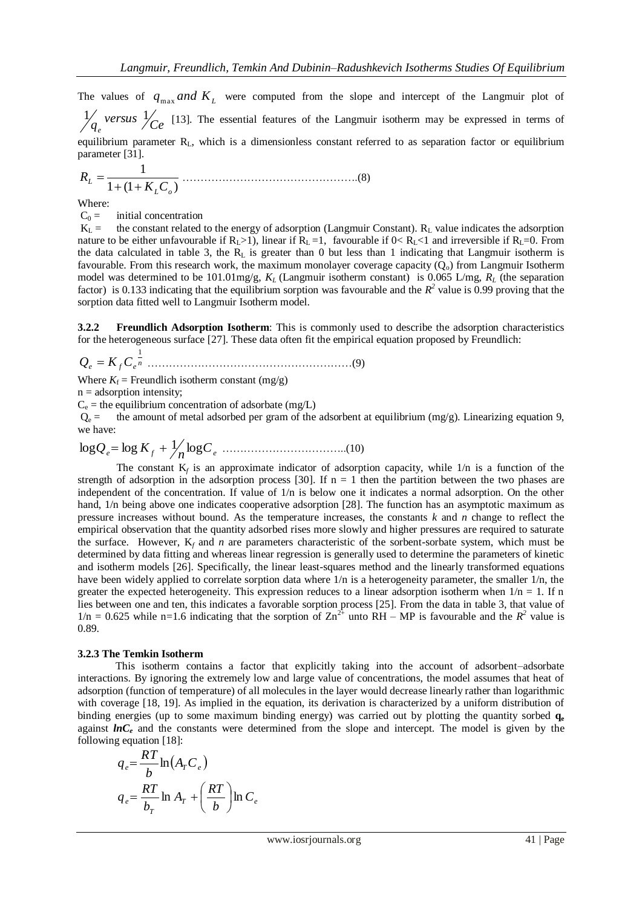The values of  $q_{\text{max}}$  *and*  $K_L$  were computed from the slope and intercept of the Langmuir plot of  $\bigvee_{q_e}$  versus  $\bigvee_{Ce}$  $\frac{1}{2}$  versus  $\frac{1}{2}$  [13]. The essential features of the Langmuir isotherm may be expressed in terms of equilibrium parameter RL, which is a dimensionless constant referred to as separation factor or equilibrium parameter [31].

1 (1 ) 1 *L o L K C R* ………………………………………….(8)

Where:

 $C_0 =$  initial concentration

 $K_L$  = the constant related to the energy of adsorption (Langmuir Constant).  $R_L$  value indicates the adsorption nature to be either unfavourable if  $R_L>1$ ), linear if  $R_L=1$ , favourable if  $0 < R_L < 1$  and irreversible if  $R_L=0$ . From the data calculated in table 3, the  $R_L$  is greater than 0 but less than 1 indicating that Langmuir isotherm is favourable. From this research work, the maximum monolayer coverage capacity  $(Q_0)$  from Langmuir Isotherm model was determined to be 101.01mg/g,  $K_L$  (Langmuir isotherm constant) is 0.065 L/mg,  $R_L$  (the separation factor) is 0.133 indicating that the equilibrium sorption was favourable and the  $R^2$  value is 0.99 proving that the sorption data fitted well to Langmuir Isotherm model.

**3.2.2 Freundlich Adsorption Isotherm**: This is commonly used to describe the adsorption characteristics for the heterogeneous surface [27]. These data often fit the empirical equation proposed by Freundlich:

*<sup>n</sup> Q<sup>e</sup> K <sup>f</sup> C<sup>e</sup>* 1 …………………………………………………(9)

Where  $K_f$  = Freundlich isotherm constant (mg/g)

 $n =$  adsorption intensity;

 $C_e$  = the equilibrium concentration of adsorbate (mg/L)

 $Q_e$  = the amount of metal adsorbed per gram of the adsorbent at equilibrium (mg/g). Linearizing equation 9, we have:

*<sup>e</sup> <sup>f</sup> <sup>C</sup><sup>e</sup> <sup>n</sup>* log*Q* log *K* 1 log ……………………………..(10)

The constant  $K_f$  is an approximate indicator of adsorption capacity, while  $1/n$  is a function of the strength of adsorption in the adsorption process [30]. If  $n = 1$  then the partition between the two phases are independent of the concentration. If value of 1/n is below one it indicates a normal adsorption. On the other hand,  $1/n$  being above one indicates cooperative adsorption [28]. The function has an asymptotic maximum as pressure increases without bound. As the temperature increases, the constants *k* and *n* change to reflect the empirical observation that the quantity adsorbed rises more slowly and higher pressures are required to saturate the surface. However,  $K_f$  and *n* are parameters characteristic of the sorbent-sorbate system, which must be determined by data fitting and whereas linear regression is generally used to determine the parameters of kinetic and isotherm models [26]. Specifically, the linear least-squares method and the linearly transformed equations have been widely applied to correlate sorption data where  $1/n$  is a heterogeneity parameter, the smaller  $1/n$ , the greater the expected heterogeneity. This expression reduces to a linear adsorption isotherm when  $1/n = 1$ . If n lies between one and ten, this indicates a favorable sorption process [25]. From the data in table 3, that value of  $1/n = 0.625$  while n=1.6 indicating that the sorption of  $Zn^{2+}$  unto RH – MP is favourable and the  $R^2$  value is 0.89.

### **3.2.3 The Temkin Isotherm**

This isotherm contains a factor that explicitly taking into the account of adsorbent–adsorbate interactions. By ignoring the extremely low and large value of concentrations, the model assumes that heat of adsorption (function of temperature) of all molecules in the layer would decrease linearly rather than logarithmic with coverage [18, 19]. As implied in the equation, its derivation is characterized by a uniform distribution of binding energies (up to some maximum binding energy) was carried out by plotting the quantity sorbed **q<sup>e</sup>** against **lnC**<sub>*e*</sub> and the constants were determined from the slope and intercept. The model is given by the following equation [18]:

$$
q_e = \frac{RT}{b} \ln(A_r C_e)
$$
  
\n
$$
q_e = \frac{RT}{b_T} \ln A_r + \left(\frac{RT}{b}\right) \ln C_e
$$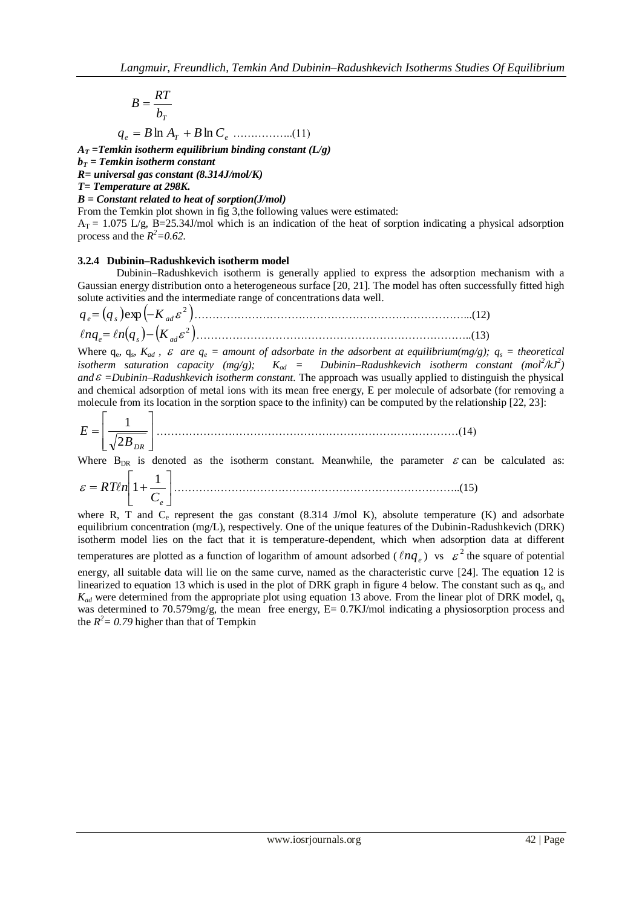$$
B = \frac{RT}{b_T}
$$
  
q<sub>e</sub> = B ln A<sub>T</sub> + B ln C<sub>e</sub> .........(11)

 $A_T$  = Temkin isotherm equilibrium binding constant ( $L/g$ )

 **= Temkin isotherm constant** 

*R= universal gas constant (8.314J/mol/K)*

*T= Temperature at 298K.*

*B = Constant related to heat of sorption(J/mol)*

From the Temkin plot shown in fig 3,the following values were estimated:

 $A_T = 1.075$  L/g, B=25.34J/mol which is an indication of the heat of sorption indicating a physical adsorption process and the  $R^2 = 0.62$ .

## **3.2.4 Dubinin–Radushkevich isotherm model**

Dubinin–Radushkevich isotherm is generally applied to express the adsorption mechanism with a Gaussian energy distribution onto a heterogeneous surface [20, 21]. The model has often successfully fitted high solute activities and the intermediate range of concentrations data well.

 2 exp *q<sup>e</sup> q<sup>s</sup> K ad* …………………………………………………………………...(12) 2 *nq<sup>e</sup> n q<sup>s</sup> Kad* …………………………………………………………………..(13)

Where  $q_e$ ,  $q_s$ ,  $K_{ad}$ ,  $\varepsilon$  are  $q_e$  = amount of adsorbate in the adsorbent at equilibrium(mg/g);  $q_s$  = theoretical *isotherm saturation capacity (mg/g);*  $K_{ad}$  = Dubinin–Radushkevich isotherm constant (mol<sup>2</sup>/kJ<sup>2</sup>) *and =Dubinin–Radushkevich isotherm constant.* The approach was usually applied to distinguish the physical and chemical adsorption of metal ions with its mean free energy, E per molecule of adsorbate (for removing a molecule from its location in the sorption space to the infinity) can be computed by the relationship [22, 23]:

 *B DR E* 2 1 …………………………………………………………………………(14)

Where  $B_{DR}$  is denoted as the isotherm constant. Meanwhile, the parameter  $\varepsilon$  can be calculated as:

$$
\varepsilon = RT\ell n \left[ 1 + \frac{1}{C_e} \right] \tag{15}
$$

where R, T and C<sub>e</sub> represent the gas constant (8.314 J/mol K), absolute temperature (K) and adsorbate equilibrium concentration (mg/L), respectively. One of the unique features of the Dubinin-Radushkevich (DRK) isotherm model lies on the fact that it is temperature-dependent, which when adsorption data at different temperatures are plotted as a function of logarithm of amount adsorbed ( $lnq_e$ ) vs  $\epsilon^2$  the square of potential energy, all suitable data will lie on the same curve, named as the characteristic curve [24]. The equation 12 is

linearized to equation 13 which is used in the plot of DRK graph in figure 4 below. The constant such as  $q_s$ , and  $K_{ad}$  were determined from the appropriate plot using equation 13 above. From the linear plot of DRK model,  $q_s$ was determined to 70.579mg/g, the mean free energy, E= 0.7KJ/mol indicating a physiosorption process and the  $R^2 = 0.79$  higher than that of Tempkin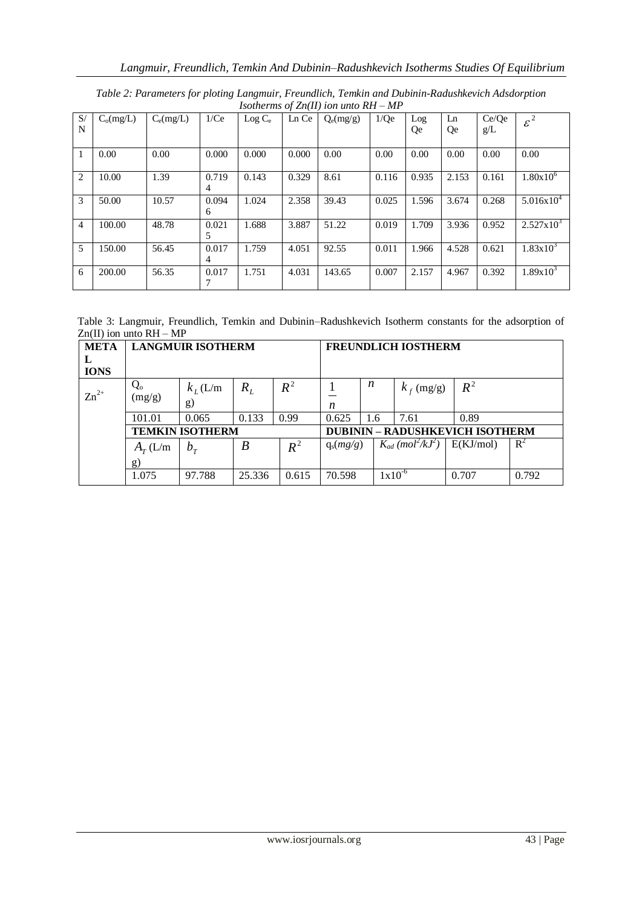|                |             |             |       |           |       | $1$ somernis of $\mathbb{Z}$ ig $\mathbb{H}$ fon unio KH $\mathbb{H}$ |       |       |       |       |                      |
|----------------|-------------|-------------|-------|-----------|-------|-----------------------------------------------------------------------|-------|-------|-------|-------|----------------------|
| S/             | $C_0(mg/L)$ | $C_e(mg/L)$ | 1/Ce  | $Log C_e$ | Ln Ce | $Q_e(mg/g)$                                                           | 1/Qe  | Log   | Ln    | Ce/Oe | $\varepsilon^2$      |
| N              |             |             |       |           |       |                                                                       |       | Qe    | Qe    | g/L   |                      |
|                |             |             |       |           |       |                                                                       |       |       |       |       |                      |
| 1              | 0.00        | 0.00        | 0.000 | 0.000     | 0.000 | 0.00                                                                  | 0.00  | 0.00  | 0.00  | 0.00  | 0.00                 |
|                |             |             |       |           |       |                                                                       |       |       |       |       |                      |
| $\overline{2}$ | 10.00       | 1.39        | 0.719 | 0.143     | 0.329 | 8.61                                                                  | 0.116 | 0.935 | 2.153 | 0.161 | $1.80x10^{6}$        |
|                |             |             | 4     |           |       |                                                                       |       |       |       |       |                      |
| 3              | 50.00       | 10.57       | 0.094 | 1.024     | 2.358 | 39.43                                                                 | 0.025 | 1.596 | 3.674 | 0.268 | $5.016x10^{4}$       |
|                |             |             | 6     |           |       |                                                                       |       |       |       |       |                      |
| $\overline{4}$ | 100.00      | 48.78       | 0.021 | 1.688     | 3.887 | 51.22                                                                 | 0.019 | 1.709 | 3.936 | 0.952 | $2.527 \times 10^3$  |
|                |             |             | 5     |           |       |                                                                       |       |       |       |       |                      |
| 5              | 150.00      | 56.45       | 0.017 | 1.759     | 4.051 | 92.55                                                                 | 0.011 | 1.966 | 4.528 | 0.621 | $1.83 \times 10^{3}$ |
|                |             |             | 4     |           |       |                                                                       |       |       |       |       |                      |
| 6              | 200.00      | 56.35       | 0.017 | 1.751     | 4.031 | 143.65                                                                | 0.007 | 2.157 | 4.967 | 0.392 | $1.89x10^{3}$        |
|                |             |             | 7     |           |       |                                                                       |       |       |       |       |                      |

*Table 2: Parameters for ploting Langmuir, Freundlich, Temkin and Dubinin-Radushkevich Adsdorption Isotherms of Zn(II) ion unto RH – MP*

Table 3: Langmuir, Freundlich, Temkin and Dubinin–Radushkevich Isotherm constants for the adsorption of  $Zn(II)$  ion unto  $RH - MP$ 

| <b>META</b>      | <b>LANGMUIR ISOTHERM</b> | <b>FREUNDLICH IOSTHERM</b> |        |       |                                        |     |                                               |           |       |  |
|------------------|--------------------------|----------------------------|--------|-------|----------------------------------------|-----|-----------------------------------------------|-----------|-------|--|
| L<br><b>IONS</b> |                          |                            |        |       |                                        |     |                                               |           |       |  |
| $Zn^{2+}$        | $Q_{o}$<br>(mg/g)        | $k_L$ (L/m<br>g)           | $R_L$  | $R^2$ | n                                      | n   | $k_f$ (mg/g)                                  | $R^2$     |       |  |
|                  | 101.01                   | 0.065                      | 0.133  | 0.99  | 0.625                                  | 1.6 | 7.61                                          | 0.89      |       |  |
|                  |                          | <b>TEMKIN ISOTHERM</b>     |        |       | <b>DUBININ - RADUSHKEVICH ISOTHERM</b> |     |                                               |           |       |  |
|                  | $A_T(L/m)$               | $b_T$                      | B      | $R^2$ | $q_s(mg/g)$                            |     | $K_{ad}$ (mol <sup>2</sup> /kJ <sup>2</sup> ) | E(KJ/mol) | $R^2$ |  |
|                  | g)                       |                            |        |       |                                        |     |                                               |           |       |  |
|                  | 1.075                    | 97.788                     | 25.336 | 0.615 | 70.598                                 |     | $1x10^{-6}$                                   | 0.707     | 0.792 |  |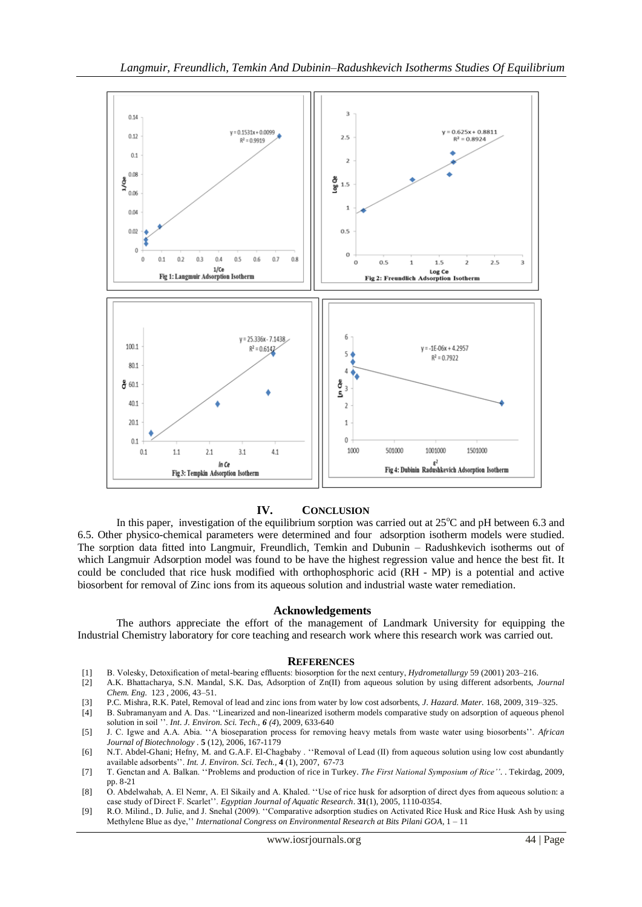

### **IV. CONCLUSION**

In this paper, investigation of the equilibrium sorption was carried out at  $25^{\circ}$ C and pH between 6.3 and 6.5. Other physico-chemical parameters were determined and four adsorption isotherm models were studied. The sorption data fitted into Langmuir, Freundlich, Temkin and Dubunin – Radushkevich isotherms out of which Langmuir Adsorption model was found to be have the highest regression value and hence the best fit. It could be concluded that rice husk modified with orthophosphoric acid (RH - MP) is a potential and active biosorbent for removal of Zinc ions from its aqueous solution and industrial waste water remediation.

#### **Acknowledgements**

The authors appreciate the effort of the management of Landmark University for equipping the Industrial Chemistry laboratory for core teaching and research work where this research work was carried out.

#### **REFERENCES**

- [1] B. Volesky, Detoxification of metal-bearing effluents: biosorption for the next century, *Hydrometallurgy* 59 (2001) 203–216.
- [2] A.K. Bhattacharya, S.N. Mandal, S.K. Das, Adsorption of Zn(II) from aqueous solution by using different adsorbents, *Journal Chem. Eng.* 123 , 2006, 43–51.
- [3] P.C. Mishra, R.K. Patel, Removal of lead and zinc ions from water by low cost adsorbents, *J. Hazard. Mater.* 168, 2009, 319–325.
- [4] B. Subramanyam and A. Das. "Linearized and non-linearized isotherm models comparative study on adsorption of aqueous phenol solution in soil ''. *Int. J. Environ. Sci. Tech., 6 (4*), 2009, 633-640
- [5] J. C. Igwe and A.A. Abia. ‗‗A bioseparation process for removing heavy metals from waste water using biosorbents''. *African Journal of Biotechnology .* **5** (12), 2006, 167-1179
- [6] N.T. Abdel-Ghani; Hefny, M. and G.A.F. El-Chagbaby . "Removal of Lead (II) from aqueous solution using low cost abundantly available adsorbents''. *Int. J. Environ. Sci. Tech.,* **4** (1), 2007, 67-73
- [7] T. Genctan and A. Balkan. ‗‗Problems and production of rice in Turkey. *The First National Symposium of Rice''*. . Tekirdag, 2009, pp. 8-21
- [8] O. Abdelwahab, A. El Nemr, A. El Sikaily and A. Khaled. "Use of rice husk for adsorption of direct dyes from aqueous solution: a case study of Direct F. Scarlet''. *Egyptian Journal of Aquatic Research*. **31**(1), 2005, 1110-0354.
- [9] R.O. Milind., D. Julie, and J. Snehal (2009). "Comparative adsorption studies on Activated Rice Husk and Rice Husk Ash by using Methylene Blue as dye,'' *International Congress on Environmental Research at Bits Pilani GOA*, 1 – 11